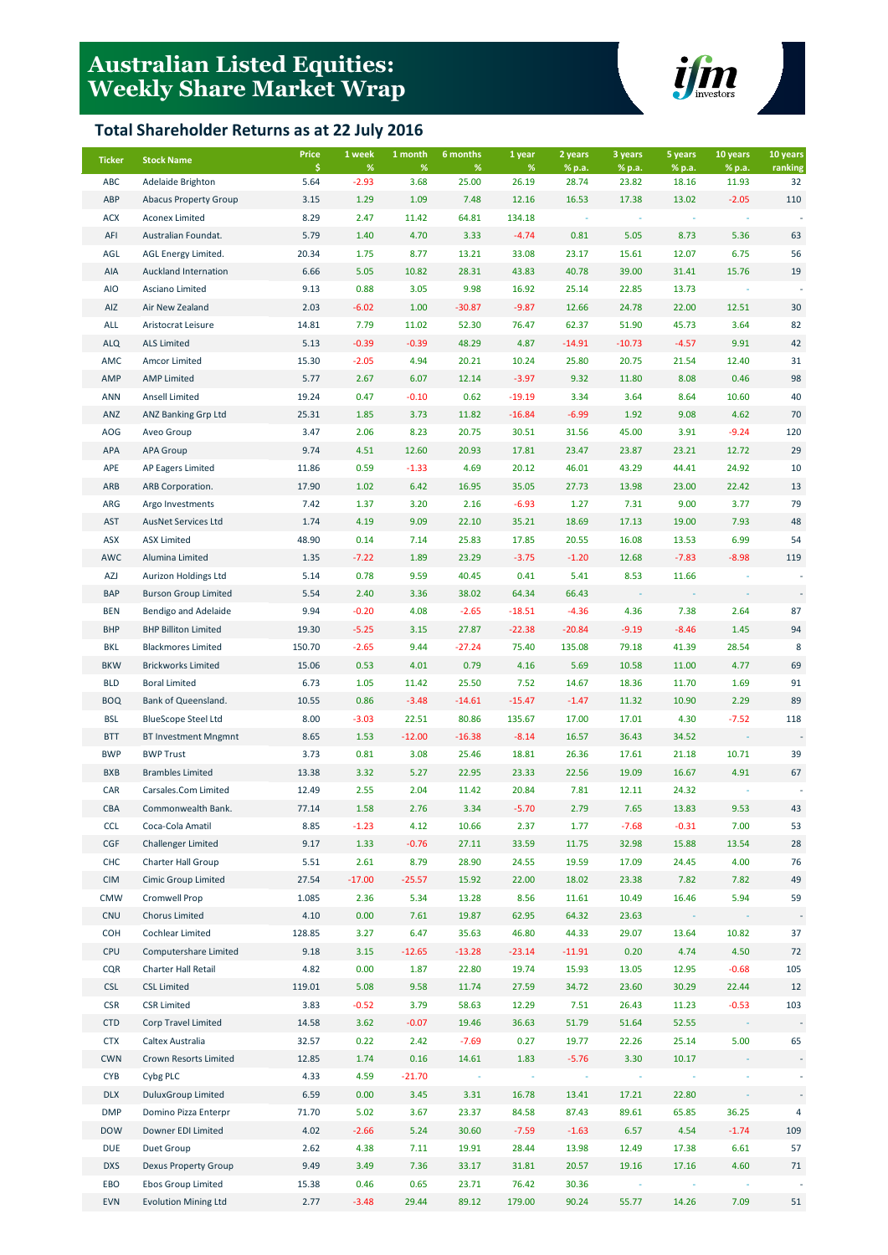# **Australian Listed Equities: Weekly Share Market Wrap**

## **Total Shareholder Returns as at 22 July 2016**



| <b>Ticker</b> | <b>Stock Name</b>            | Price      | 1 week       | 1 month      | 6 months      | 1 year     | 2 years         | 3 years         | 5 years         | 10 years        | 10 years      |
|---------------|------------------------------|------------|--------------|--------------|---------------|------------|-----------------|-----------------|-----------------|-----------------|---------------|
| ABC           | Adelaide Brighton            | \$<br>5.64 | %<br>$-2.93$ | $\%$<br>3.68 | $\%$<br>25.00 | %<br>26.19 | % p.a.<br>28.74 | % p.a.<br>23.82 | % p.a.<br>18.16 | % p.a.<br>11.93 | ranking<br>32 |
| ABP           | <b>Abacus Property Group</b> | 3.15       | 1.29         | 1.09         | 7.48          | 12.16      | 16.53           | 17.38           | 13.02           | $-2.05$         | 110           |
| <b>ACX</b>    | <b>Aconex Limited</b>        | 8.29       | 2.47         | 11.42        | 64.81         | 134.18     |                 |                 |                 |                 |               |
| AFI           | Australian Foundat.          | 5.79       | 1.40         | 4.70         | 3.33          | $-4.74$    | 0.81            | 5.05            | 8.73            | 5.36            | 63            |
| AGL           | AGL Energy Limited.          | 20.34      | 1.75         | 8.77         | 13.21         | 33.08      | 23.17           | 15.61           | 12.07           | 6.75            | 56            |
| AIA           | Auckland Internation         | 6.66       | 5.05         | 10.82        | 28.31         | 43.83      | 40.78           | 39.00           | 31.41           | 15.76           | 19            |
| <b>AIO</b>    | Asciano Limited              | 9.13       | 0.88         | 3.05         | 9.98          | 16.92      | 25.14           | 22.85           | 13.73           |                 |               |
| AIZ           | Air New Zealand              | 2.03       | $-6.02$      | 1.00         | $-30.87$      | $-9.87$    | 12.66           | 24.78           | 22.00           | 12.51           | 30            |
| ALL           | Aristocrat Leisure           | 14.81      | 7.79         | 11.02        | 52.30         | 76.47      | 62.37           | 51.90           | 45.73           | 3.64            | 82            |
| <b>ALQ</b>    | <b>ALS Limited</b>           | 5.13       | $-0.39$      | $-0.39$      | 48.29         | 4.87       | $-14.91$        | $-10.73$        | $-4.57$         | 9.91            | 42            |
| AMC           | Amcor Limited                | 15.30      | $-2.05$      | 4.94         | 20.21         | 10.24      | 25.80           | 20.75           | 21.54           | 12.40           | 31            |
| AMP           | <b>AMP Limited</b>           | 5.77       | 2.67         | 6.07         | 12.14         | $-3.97$    | 9.32            | 11.80           | 8.08            | 0.46            | 98            |
| <b>ANN</b>    | <b>Ansell Limited</b>        | 19.24      | 0.47         | $-0.10$      | 0.62          | $-19.19$   | 3.34            | 3.64            | 8.64            | 10.60           | 40            |
| ANZ           | ANZ Banking Grp Ltd          | 25.31      | 1.85         | 3.73         | 11.82         | $-16.84$   | $-6.99$         | 1.92            | 9.08            | 4.62            | 70            |
| AOG           | Aveo Group                   | 3.47       | 2.06         | 8.23         | 20.75         | 30.51      | 31.56           | 45.00           | 3.91            | $-9.24$         | 120           |
| APA           | <b>APA Group</b>             | 9.74       | 4.51         | 12.60        | 20.93         | 17.81      | 23.47           | 23.87           | 23.21           | 12.72           | 29            |
| APE           | AP Eagers Limited            | 11.86      | 0.59         | $-1.33$      | 4.69          | 20.12      | 46.01           | 43.29           | 44.41           | 24.92           | 10            |
| ARB           | ARB Corporation.             | 17.90      | 1.02         | 6.42         | 16.95         | 35.05      | 27.73           | 13.98           | 23.00           | 22.42           | 13            |
| ARG           | Argo Investments             | 7.42       | 1.37         | 3.20         | 2.16          | $-6.93$    | 1.27            | 7.31            | 9.00            | 3.77            | 79            |
| <b>AST</b>    | AusNet Services Ltd          | 1.74       | 4.19         | 9.09         | 22.10         | 35.21      | 18.69           | 17.13           | 19.00           | 7.93            | 48            |
| ASX           | <b>ASX Limited</b>           | 48.90      | 0.14         | 7.14         | 25.83         | 17.85      | 20.55           | 16.08           | 13.53           | 6.99            | 54            |
| AWC           | Alumina Limited              | 1.35       | $-7.22$      | 1.89         | 23.29         | $-3.75$    | $-1.20$         | 12.68           | $-7.83$         | $-8.98$         | 119           |
| AZJ           | Aurizon Holdings Ltd         | 5.14       | 0.78         | 9.59         | 40.45         | 0.41       | 5.41            | 8.53            | 11.66           |                 |               |
| <b>BAP</b>    | <b>Burson Group Limited</b>  | 5.54       | 2.40         | 3.36         | 38.02         | 64.34      | 66.43           |                 |                 |                 |               |
| <b>BEN</b>    | Bendigo and Adelaide         | 9.94       | $-0.20$      | 4.08         | $-2.65$       | $-18.51$   | $-4.36$         | 4.36            | 7.38            | 2.64            | 87            |
| <b>BHP</b>    | <b>BHP Billiton Limited</b>  | 19.30      | $-5.25$      | 3.15         | 27.87         | $-22.38$   | $-20.84$        | $-9.19$         | $-8.46$         | 1.45            | 94            |
| <b>BKL</b>    | <b>Blackmores Limited</b>    | 150.70     | $-2.65$      | 9.44         | $-27.24$      | 75.40      | 135.08          | 79.18           | 41.39           | 28.54           | 8             |
| <b>BKW</b>    | <b>Brickworks Limited</b>    | 15.06      | 0.53         | 4.01         | 0.79          | 4.16       | 5.69            | 10.58           | 11.00           | 4.77            | 69            |
| <b>BLD</b>    | <b>Boral Limited</b>         | 6.73       | 1.05         | 11.42        | 25.50         | 7.52       | 14.67           | 18.36           | 11.70           | 1.69            | 91            |
| <b>BOQ</b>    | Bank of Queensland.          | 10.55      | 0.86         | $-3.48$      | $-14.61$      | $-15.47$   | $-1.47$         | 11.32           | 10.90           | 2.29            | 89            |
| <b>BSL</b>    | <b>BlueScope Steel Ltd</b>   | 8.00       | $-3.03$      | 22.51        | 80.86         | 135.67     | 17.00           | 17.01           | 4.30            | $-7.52$         | 118           |
| <b>BTT</b>    | <b>BT Investment Mngmnt</b>  | 8.65       | 1.53         | $-12.00$     | $-16.38$      | $-8.14$    | 16.57           | 36.43           | 34.52           |                 |               |
| <b>BWP</b>    | <b>BWP Trust</b>             | 3.73       | 0.81         | 3.08         | 25.46         | 18.81      | 26.36           | 17.61           | 21.18           | 10.71           | 39            |
| <b>BXB</b>    | <b>Brambles Limited</b>      | 13.38      | 3.32         | 5.27         | 22.95         | 23.33      | 22.56           | 19.09           | 16.67           | 4.91            | 67            |
| CAR           | Carsales.Com Limited         | 12.49      | 2.55         | 2.04         | 11.42         | 20.84      | 7.81            | 12.11           | 24.32           |                 |               |
| CBA           | Commonwealth Bank.           | 77.14      | 1.58         | 2.76         | 3.34          | $-5.70$    | 2.79            | 7.65            | 13.83           | 9.53            | 43            |
| <b>CCL</b>    | Coca-Cola Amatil             | 8.85       | $-1.23$      | 4.12         | 10.66         | 2.37       | 1.77            | $-7.68$         | $-0.31$         | 7.00            | 53            |
| CGF           | <b>Challenger Limited</b>    | 9.17       | 1.33         | $-0.76$      | 27.11         | 33.59      | 11.75           | 32.98           | 15.88           | 13.54           | 28            |
| <b>CHC</b>    | Charter Hall Group           | 5.51       | 2.61         | 8.79         | 28.90         | 24.55      | 19.59           | 17.09           | 24.45           | 4.00            | 76            |
| <b>CIM</b>    | Cimic Group Limited          | 27.54      | $-17.00$     | $-25.57$     | 15.92         | 22.00      | 18.02           | 23.38           | 7.82            | 7.82            | 49            |
| <b>CMW</b>    | Cromwell Prop                | 1.085      | 2.36         | 5.34         | 13.28         | 8.56       | 11.61           | 10.49           | 16.46           | 5.94            | 59            |
| <b>CNU</b>    | <b>Chorus Limited</b>        | 4.10       | 0.00         | 7.61         | 19.87         | 62.95      | 64.32           | 23.63           |                 |                 |               |
| <b>COH</b>    | Cochlear Limited             | 128.85     | 3.27         | 6.47         | 35.63         | 46.80      | 44.33           | 29.07           | 13.64           | 10.82           | 37            |
| <b>CPU</b>    | Computershare Limited        | 9.18       | 3.15         | $-12.65$     | $-13.28$      | $-23.14$   | $-11.91$        | 0.20            | 4.74            | 4.50            | 72            |
| <b>CQR</b>    | Charter Hall Retail          | 4.82       | 0.00         | 1.87         | 22.80         | 19.74      | 15.93           | 13.05           | 12.95           | $-0.68$         | 105           |
| <b>CSL</b>    | <b>CSL Limited</b>           | 119.01     | 5.08         | 9.58         | 11.74         | 27.59      | 34.72           | 23.60           | 30.29           | 22.44           | 12            |
| <b>CSR</b>    | <b>CSR Limited</b>           | 3.83       | $-0.52$      | 3.79         | 58.63         | 12.29      | 7.51            | 26.43           | 11.23           | $-0.53$         | 103           |
| <b>CTD</b>    | Corp Travel Limited          | 14.58      | 3.62         | $-0.07$      | 19.46         | 36.63      | 51.79           | 51.64           | 52.55           |                 |               |
| <b>CTX</b>    | Caltex Australia             | 32.57      | 0.22         | 2.42         | $-7.69$       | 0.27       | 19.77           | 22.26           | 25.14           | 5.00            | 65            |
| <b>CWN</b>    | Crown Resorts Limited        | 12.85      | 1.74         | 0.16         | 14.61         | 1.83       | $-5.76$         | 3.30            | 10.17           |                 |               |
| <b>CYB</b>    | Cybg PLC                     | 4.33       | 4.59         | $-21.70$     | $\sim$        |            |                 |                 |                 |                 |               |
| <b>DLX</b>    | <b>DuluxGroup Limited</b>    | 6.59       | 0.00         | 3.45         | 3.31          | 16.78      | 13.41           | 17.21           | 22.80           |                 |               |
| <b>DMP</b>    | Domino Pizza Enterpr         | 71.70      | 5.02         | 3.67         | 23.37         | 84.58      | 87.43           | 89.61           | 65.85           | 36.25           | 4             |
| <b>DOW</b>    | Downer EDI Limited           | 4.02       | $-2.66$      | 5.24         | 30.60         | $-7.59$    | $-1.63$         | 6.57            | 4.54            | $-1.74$         | 109           |
| <b>DUE</b>    | Duet Group                   | 2.62       | 4.38         | 7.11         | 19.91         | 28.44      | 13.98           | 12.49           | 17.38           | 6.61            | 57            |
| <b>DXS</b>    | <b>Dexus Property Group</b>  | 9.49       | 3.49         | 7.36         | 33.17         | 31.81      | 20.57           | 19.16           | 17.16           | 4.60            | 71            |
| EBO           | <b>Ebos Group Limited</b>    | 15.38      | 0.46         | 0.65         | 23.71         | 76.42      | 30.36           |                 |                 |                 |               |
| <b>EVN</b>    | <b>Evolution Mining Ltd</b>  | 2.77       | $-3.48$      | 29.44        | 89.12         | 179.00     | 90.24           | 55.77           | 14.26           | 7.09            | 51            |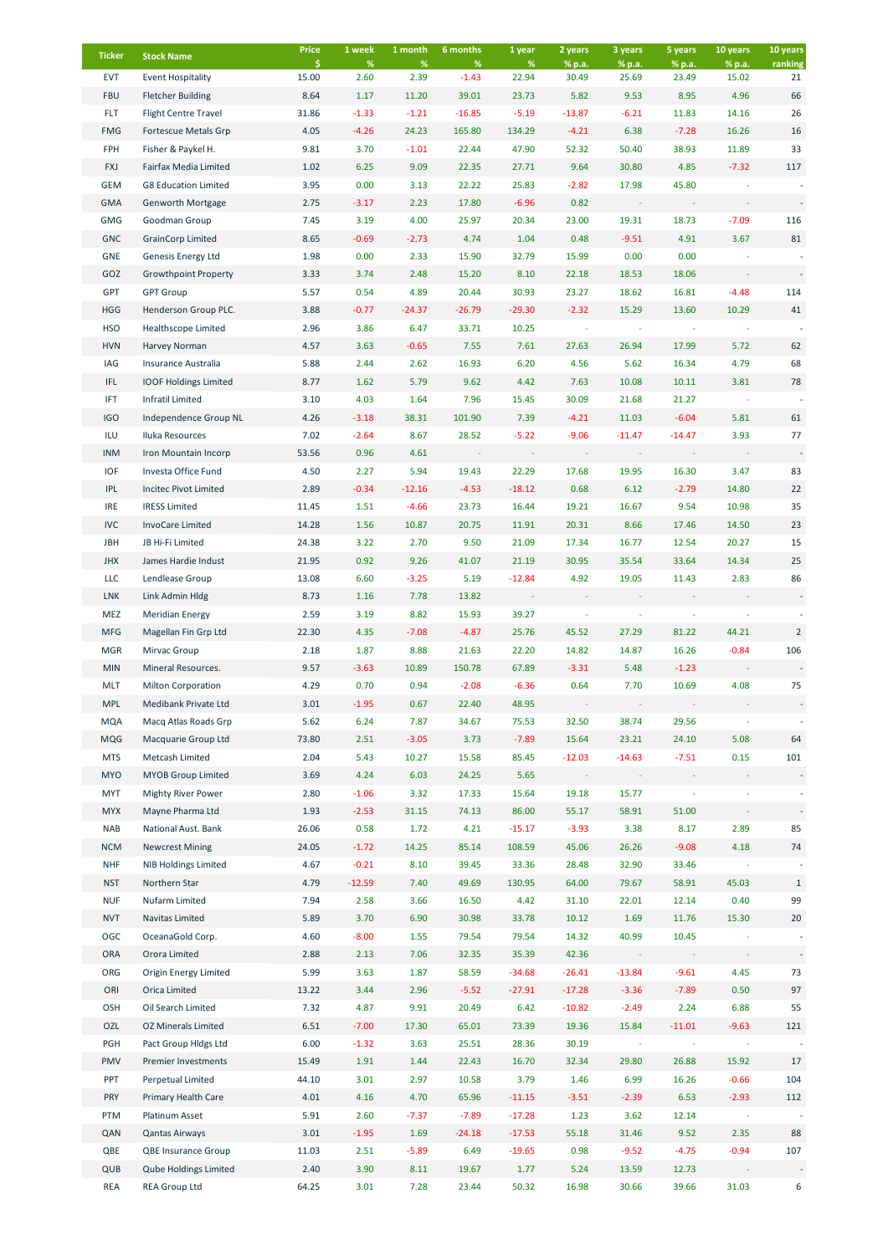| <b>Ticker</b>            | <b>Stock Name</b>                                 | Price<br>Ŝ.  | 1 week<br>%     | 1 month<br>$\%$ | 6 months<br>%     | 1 year<br>$\%$   | 2 years<br>% p.a. | 3 years<br>% p.a. | 5 years          | 10 years<br>% p.a. | 10 years                 |
|--------------------------|---------------------------------------------------|--------------|-----------------|-----------------|-------------------|------------------|-------------------|-------------------|------------------|--------------------|--------------------------|
| <b>EVT</b>               | <b>Event Hospitality</b>                          | 15.00        | 2.60            | 2.39            | $-1.43$           | 22.94            | 30.49             | 25.69             | % p.a.<br>23.49  | 15.02              | ranking<br>21            |
| <b>FBU</b>               | <b>Fletcher Building</b>                          | 8.64         | 1.17            | 11.20           | 39.01             | 23.73            | 5.82              | 9.53              | 8.95             | 4.96               | 66                       |
| <b>FLT</b>               | <b>Flight Centre Travel</b>                       | 31.86        | $-1.33$         | $-1.21$         | $-16.85$          | $-5.19$          | $-13.87$          | $-6.21$           | 11.83            | 14.16              | 26                       |
| <b>FMG</b>               | Fortescue Metals Grp                              | 4.05         | $-4.26$         | 24.23           | 165.80            | 134.29           | $-4.21$           | 6.38              | $-7.28$          | 16.26              | 16                       |
| FPH                      | Fisher & Paykel H.                                | 9.81         | 3.70            | $-1.01$         | 22.44             | 47.90            | 52.32             | 50.40             | 38.93            | 11.89              | 33                       |
| <b>FXJ</b>               | Fairfax Media Limited                             | 1.02         | 6.25            | 9.09            | 22.35             | 27.71            | 9.64              | 30.80             | 4.85             | $-7.32$            | 117                      |
| <b>GEM</b>               | <b>G8 Education Limited</b>                       | 3.95         | 0.00            | 3.13            | 22.22             | 25.83            | $-2.82$           | 17.98             | 45.80            |                    |                          |
| <b>GMA</b>               | Genworth Mortgage                                 | 2.75         | $-3.17$         | 2.23            | 17.80             | $-6.96$          | 0.82              |                   |                  |                    |                          |
| <b>GMG</b>               | Goodman Group                                     | 7.45         | 3.19            | 4.00            | 25.97             | 20.34            | 23.00             | 19.31             | 18.73            | $-7.09$            | 116                      |
| <b>GNC</b>               | <b>GrainCorp Limited</b>                          | 8.65         | $-0.69$         | $-2.73$         | 4.74              | 1.04             | 0.48              | $-9.51$           | 4.91             | 3.67               | 81                       |
| <b>GNE</b>               | Genesis Energy Ltd                                | 1.98         | 0.00            | 2.33            | 15.90             | 32.79            | 15.99             | 0.00              | 0.00             |                    |                          |
| GOZ                      | <b>Growthpoint Property</b>                       | 3.33         | 3.74            | 2.48            | 15.20             | 8.10             | 22.18             | 18.53             | 18.06            |                    |                          |
| GPT                      | <b>GPT Group</b>                                  | 5.57         | 0.54            | 4.89            | 20.44             | 30.93            | 23.27             | 18.62             | 16.81            | $-4.48$            | 114                      |
| <b>HGG</b>               | Henderson Group PLC.                              | 3.88         | $-0.77$         | $-24.37$        | $-26.79$          | $-29.30$         | $-2.32$           | 15.29             | 13.60            | 10.29              | 41                       |
| <b>HSO</b>               | <b>Healthscope Limited</b>                        | 2.96         | 3.86            | 6.47            | 33.71             | 10.25            |                   |                   |                  |                    |                          |
| <b>HVN</b>               | Harvey Norman                                     | 4.57         | 3.63            | $-0.65$         | 7.55              | 7.61             | 27.63             | 26.94             | 17.99            | 5.72               | 62                       |
| IAG                      | Insurance Australia                               | 5.88         | 2.44            | 2.62            | 16.93             | 6.20             | 4.56              | 5.62              | 16.34            | 4.79               | 68                       |
| IFL                      | <b>IOOF Holdings Limited</b>                      | 8.77         | 1.62            | 5.79            | 9.62              | 4.42             | 7.63              | 10.08             | 10.11            | 3.81               | 78                       |
| IFT                      | <b>Infratil Limited</b>                           | 3.10         | 4.03            | 1.64            | 7.96              | 15.45            | 30.09             | 21.68             | 21.27            |                    |                          |
| <b>IGO</b>               | Independence Group NL                             | 4.26         | $-3.18$         | 38.31           | 101.90            | 7.39             | $-4.21$           | 11.03             | $-6.04$          | 5.81               | 61                       |
| ILU                      | Iluka Resources                                   | 7.02         | $-2.64$         | 8.67            | 28.52             | $-5.22$          | $-9.06$           | $-11.47$          | $-14.47$         | 3.93               | 77                       |
| <b>INM</b>               | Iron Mountain Incorp                              | 53.56        | 0.96            | 4.61            |                   |                  |                   |                   |                  |                    |                          |
| <b>IOF</b>               | Investa Office Fund                               | 4.50         | 2.27            | 5.94            | 19.43             | 22.29            | 17.68             | 19.95             | 16.30            | 3.47               | 83                       |
| <b>IPL</b>               | Incitec Pivot Limited                             | 2.89         | $-0.34$         | $-12.16$        | $-4.53$           | $-18.12$         | 0.68              | 6.12              | $-2.79$          | 14.80              | 22                       |
| <b>IRE</b>               | <b>IRESS Limited</b>                              | 11.45        | 1.51            | $-4.66$         | 23.73             | 16.44            | 19.21             | 16.67             | 9.54             | 10.98              | 35                       |
| <b>IVC</b>               | <b>InvoCare Limited</b>                           | 14.28        | 1.56            | 10.87           | 20.75             | 11.91            | 20.31             | 8.66              | 17.46            | 14.50              | 23                       |
| <b>JBH</b>               | JB Hi-Fi Limited                                  | 24.38        | 3.22            | 2.70            | 9.50              | 21.09            | 17.34             | 16.77             | 12.54            | 20.27              | 15                       |
| <b>JHX</b>               | James Hardie Indust                               | 21.95        | 0.92            | 9.26            | 41.07             | 21.19            | 30.95             | 35.54             | 33.64            | 14.34              | 25                       |
| LLC                      | Lendlease Group                                   | 13.08        | 6.60            | $-3.25$         | 5.19              | $-12.84$         | 4.92              | 19.05             | 11.43            | 2.83               | 86                       |
| <b>LNK</b>               | Link Admin Hldg                                   | 8.73         | 1.16            | 7.78            | 13.82             |                  |                   |                   |                  |                    | $\overline{\phantom{a}}$ |
| MEZ                      | <b>Meridian Energy</b>                            | 2.59         | 3.19            | 8.82            | 15.93             | 39.27            |                   |                   |                  |                    |                          |
| <b>MFG</b>               | Magellan Fin Grp Ltd                              | 22.30        | 4.35            | $-7.08$         | $-4.87$           | 25.76            | 45.52             | 27.29             | 81.22            | 44.21              | $\overline{2}$           |
| <b>MGR</b>               | Mirvac Group                                      | 2.18         | 1.87            | 8.88            | 21.63             | 22.20            | 14.82             | 14.87             | 16.26            | $-0.84$            | 106                      |
| <b>MIN</b><br><b>MLT</b> | Mineral Resources.                                | 9.57<br>4.29 | $-3.63$<br>0.70 | 10.89<br>0.94   | 150.78<br>$-2.08$ | 67.89<br>$-6.36$ | $-3.31$<br>0.64   | 5.48<br>7.70      | $-1.23$<br>10.69 | 4.08               | 75                       |
| <b>MPL</b>               | <b>Milton Corporation</b><br>Medibank Private Ltd | 3.01         | $-1.95$         | 0.67            | 22.40             | 48.95            |                   |                   |                  |                    |                          |
| <b>MQA</b>               | Macq Atlas Roads Grp                              | 5.62         | 6.24            | 7.87            | 34.67             | 75.53            | 32.50             | 38.74             | 29.56            |                    |                          |
| <b>MQG</b>               | Macquarie Group Ltd                               | 73.80        | 2.51            | $-3.05$         | 3.73              | $-7.89$          | 15.64             | 23.21             | 24.10            | 5.08               | 64                       |
| <b>MTS</b>               | Metcash Limited                                   | 2.04         | 5.43            | 10.27           | 15.58             | 85.45            | $-12.03$          | $-14.63$          | $-7.51$          | 0.15               | 101                      |
| <b>MYO</b>               | <b>MYOB Group Limited</b>                         | 3.69         | 4.24            | 6.03            | 24.25             | 5.65             |                   |                   |                  |                    |                          |
| MYT                      | <b>Mighty River Power</b>                         | 2.80         | $-1.06$         | 3.32            | 17.33             | 15.64            | 19.18             | 15.77             |                  |                    |                          |
| <b>MYX</b>               | Mayne Pharma Ltd                                  | 1.93         | $-2.53$         | 31.15           | 74.13             | 86.00            | 55.17             | 58.91             | 51.00            |                    |                          |
| <b>NAB</b>               | National Aust. Bank                               | 26.06        | 0.58            | 1.72            | 4.21              | $-15.17$         | $-3.93$           | 3.38              | 8.17             | 2.89               | 85                       |
| <b>NCM</b>               | <b>Newcrest Mining</b>                            | 24.05        | $-1.72$         | 14.25           | 85.14             | 108.59           | 45.06             | 26.26             | $-9.08$          | 4.18               | 74                       |
| <b>NHF</b>               | <b>NIB Holdings Limited</b>                       | 4.67         | $-0.21$         | 8.10            | 39.45             | 33.36            | 28.48             | 32.90             | 33.46            |                    |                          |
| <b>NST</b>               | Northern Star                                     | 4.79         | $-12.59$        | 7.40            | 49.69             | 130.95           | 64.00             | 79.67             | 58.91            | 45.03              | $\mathbf{1}$             |
| <b>NUF</b>               | Nufarm Limited                                    | 7.94         | 2.58            | 3.66            | 16.50             | 4.42             | 31.10             | 22.01             | 12.14            | 0.40               | 99                       |
| <b>NVT</b>               | Navitas Limited                                   | 5.89         | 3.70            | 6.90            | 30.98             | 33.78            | 10.12             | 1.69              | 11.76            | 15.30              | 20                       |
| OGC                      | OceanaGold Corp.                                  | 4.60         | $-8.00$         | 1.55            | 79.54             | 79.54            | 14.32             | 40.99             | 10.45            |                    |                          |
| ORA                      | Orora Limited                                     | 2.88         | 2.13            | 7.06            | 32.35             | 35.39            | 42.36             |                   |                  |                    |                          |
| ORG                      | <b>Origin Energy Limited</b>                      | 5.99         | 3.63            | 1.87            | 58.59             | $-34.68$         | $-26.41$          | $-13.84$          | $-9.61$          | 4.45               | 73                       |
| ORI                      | Orica Limited                                     | 13.22        | 3.44            | 2.96            | $-5.52$           | $-27.91$         | $-17.28$          | $-3.36$           | $-7.89$          | 0.50               | 97                       |
| OSH                      | Oil Search Limited                                | 7.32         | 4.87            | 9.91            | 20.49             | 6.42             | $-10.82$          | $-2.49$           | 2.24             | 6.88               | 55                       |
| OZL                      | <b>OZ Minerals Limited</b>                        | 6.51         | $-7.00$         | 17.30           | 65.01             | 73.39            | 19.36             | 15.84             | $-11.01$         | $-9.63$            | 121                      |
| PGH                      | Pact Group Hldgs Ltd                              | 6.00         | $-1.32$         | 3.63            | 25.51             | 28.36            | 30.19             |                   |                  |                    |                          |
| PMV                      | Premier Investments                               | 15.49        | 1.91            | 1.44            | 22.43             | 16.70            | 32.34             | 29.80             | 26.88            | 15.92              | 17                       |
| PPT                      | Perpetual Limited                                 | 44.10        | 3.01            | 2.97            | 10.58             | 3.79             | 1.46              | 6.99              | 16.26            | $-0.66$            | 104                      |
| PRY                      | Primary Health Care                               | 4.01         | 4.16            | 4.70            | 65.96             | $-11.15$         | $-3.51$           | $-2.39$           | 6.53             | $-2.93$            | 112                      |
| PTM                      | Platinum Asset                                    | 5.91         | 2.60            | $-7.37$         | $-7.89$           | $-17.28$         | 1.23              | 3.62              | 12.14            |                    |                          |
| QAN                      | <b>Qantas Airways</b>                             | 3.01         | $-1.95$         | 1.69            | $-24.18$          | $-17.53$         | 55.18             | 31.46             | 9.52             | 2.35               | 88                       |
| QBE                      | <b>QBE Insurance Group</b>                        | 11.03        | 2.51            | $-5.89$         | 6.49              | $-19.65$         | 0.98              | $-9.52$           | $-4.75$          | $-0.94$            | 107                      |
| QUB                      | <b>Qube Holdings Limited</b>                      | 2.40         | 3.90            | 8.11            | 19.67             | 1.77             | 5.24              | 13.59             | 12.73            |                    |                          |
| <b>REA</b>               | <b>REA Group Ltd</b>                              | 64.25        | 3.01            | 7.28            | 23.44             | 50.32            | 16.98             | 30.66             | 39.66            | 31.03              | 6                        |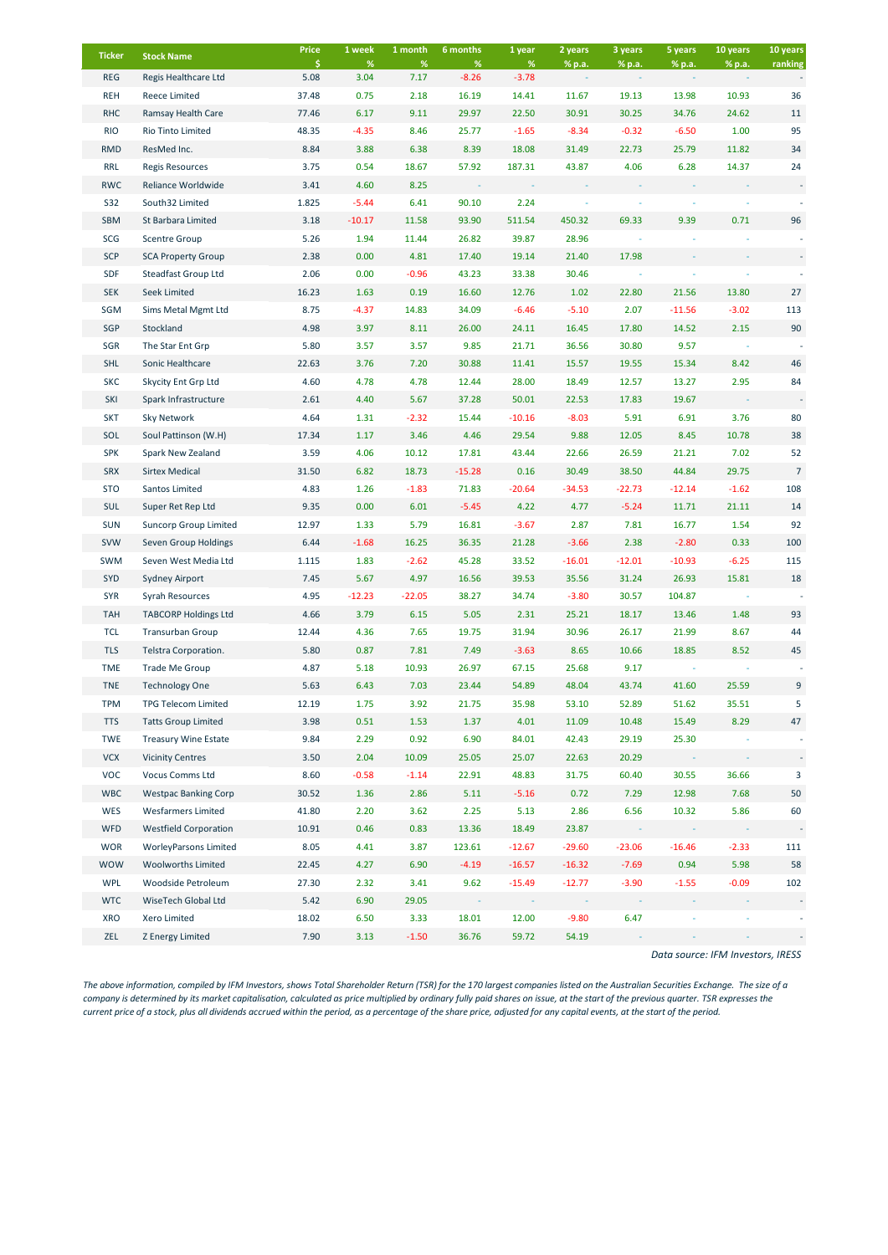| <b>Ticker</b> | <b>Stock Name</b>            | Price      | 1 week       | 1 month      | 6 months        | 1 year          | 2 years  | 3 years  | 5 years  | 10 years | 10 years       |
|---------------|------------------------------|------------|--------------|--------------|-----------------|-----------------|----------|----------|----------|----------|----------------|
| <b>REG</b>    | Regis Healthcare Ltd         | \$<br>5.08 | $\%$<br>3.04 | $\%$<br>7.17 | $\%$<br>$-8.26$ | $\%$<br>$-3.78$ | % p.a.   | % p.a.   | % p.a.   | % p.a.   | ranking        |
| <b>REH</b>    | Reece Limited                | 37.48      | 0.75         | 2.18         | 16.19           | 14.41           | 11.67    | 19.13    | 13.98    | 10.93    | 36             |
| <b>RHC</b>    | Ramsay Health Care           | 77.46      | 6.17         | 9.11         | 29.97           | 22.50           | 30.91    | 30.25    | 34.76    | 24.62    | 11             |
| <b>RIO</b>    | Rio Tinto Limited            | 48.35      | $-4.35$      | 8.46         | 25.77           | $-1.65$         | $-8.34$  | $-0.32$  | $-6.50$  | 1.00     | 95             |
| <b>RMD</b>    | ResMed Inc.                  | 8.84       | 3.88         | 6.38         | 8.39            | 18.08           | 31.49    | 22.73    | 25.79    | 11.82    | 34             |
| <b>RRL</b>    | <b>Regis Resources</b>       | 3.75       | 0.54         | 18.67        | 57.92           | 187.31          | 43.87    | 4.06     | 6.28     | 14.37    | 24             |
| <b>RWC</b>    | Reliance Worldwide           | 3.41       | 4.60         | 8.25         |                 |                 |          |          |          |          |                |
| <b>S32</b>    | South32 Limited              | 1.825      | $-5.44$      | 6.41         | 90.10           | 2.24            |          |          |          |          |                |
| SBM           | St Barbara Limited           | 3.18       | $-10.17$     | 11.58        | 93.90           | 511.54          | 450.32   | 69.33    | 9.39     | 0.71     | 96             |
| SCG           | <b>Scentre Group</b>         | 5.26       | 1.94         | 11.44        | 26.82           | 39.87           | 28.96    |          |          |          |                |
| <b>SCP</b>    | <b>SCA Property Group</b>    | 2.38       | 0.00         | 4.81         | 17.40           | 19.14           | 21.40    | 17.98    |          |          |                |
| SDF           | Steadfast Group Ltd          | 2.06       | 0.00         | $-0.96$      | 43.23           | 33.38           | 30.46    |          |          |          |                |
| <b>SEK</b>    | <b>Seek Limited</b>          | 16.23      | 1.63         | 0.19         | 16.60           | 12.76           | 1.02     | 22.80    | 21.56    | 13.80    | 27             |
| SGM           | Sims Metal Mgmt Ltd          | 8.75       | -4.37        | 14.83        | 34.09           | $-6.46$         | $-5.10$  | 2.07     | $-11.56$ | $-3.02$  | 113            |
| SGP           | Stockland                    | 4.98       | 3.97         | 8.11         | 26.00           | 24.11           | 16.45    | 17.80    | 14.52    | 2.15     | 90             |
| SGR           | The Star Ent Grp             | 5.80       | 3.57         | 3.57         | 9.85            | 21.71           | 36.56    | 30.80    | 9.57     |          |                |
| <b>SHL</b>    | Sonic Healthcare             | 22.63      | 3.76         | 7.20         | 30.88           | 11.41           | 15.57    | 19.55    | 15.34    | 8.42     | 46             |
| <b>SKC</b>    | Skycity Ent Grp Ltd          | 4.60       | 4.78         | 4.78         | 12.44           | 28.00           | 18.49    | 12.57    | 13.27    | 2.95     | 84             |
| SKI           | Spark Infrastructure         | 2.61       | 4.40         | 5.67         | 37.28           | 50.01           | 22.53    | 17.83    | 19.67    |          |                |
| <b>SKT</b>    | Sky Network                  | 4.64       | 1.31         | $-2.32$      | 15.44           | $-10.16$        | $-8.03$  | 5.91     | 6.91     | 3.76     | 80             |
| SOL           | Soul Pattinson (W.H)         | 17.34      | 1.17         | 3.46         | 4.46            | 29.54           | 9.88     | 12.05    | 8.45     | 10.78    | 38             |
| <b>SPK</b>    | Spark New Zealand            | 3.59       | 4.06         | 10.12        | 17.81           | 43.44           | 22.66    | 26.59    | 21.21    | 7.02     | 52             |
| <b>SRX</b>    | <b>Sirtex Medical</b>        | 31.50      | 6.82         | 18.73        | $-15.28$        | 0.16            | 30.49    | 38.50    | 44.84    | 29.75    | $\overline{7}$ |
| <b>STO</b>    | Santos Limited               | 4.83       | 1.26         | $-1.83$      | 71.83           | $-20.64$        | $-34.53$ | $-22.73$ | $-12.14$ | $-1.62$  | 108            |
| <b>SUL</b>    | Super Ret Rep Ltd            | 9.35       | 0.00         | 6.01         | $-5.45$         | 4.22            | 4.77     | $-5.24$  | 11.71    | 21.11    | 14             |
| <b>SUN</b>    | <b>Suncorp Group Limited</b> | 12.97      | 1.33         | 5.79         | 16.81           | $-3.67$         | 2.87     | 7.81     | 16.77    | 1.54     | 92             |
| <b>SVW</b>    | Seven Group Holdings         | 6.44       | $-1.68$      | 16.25        | 36.35           | 21.28           | $-3.66$  | 2.38     | $-2.80$  | 0.33     | 100            |
| <b>SWM</b>    | Seven West Media Ltd         | 1.115      | 1.83         | $-2.62$      | 45.28           | 33.52           | $-16.01$ | $-12.01$ | -10.93   | $-6.25$  | 115            |
| <b>SYD</b>    | Sydney Airport               | 7.45       | 5.67         | 4.97         | 16.56           | 39.53           | 35.56    | 31.24    | 26.93    | 15.81    | 18             |
| <b>SYR</b>    | Syrah Resources              | 4.95       | $-12.23$     | -22.05       | 38.27           | 34.74           | $-3.80$  | 30.57    | 104.87   |          |                |
| <b>TAH</b>    | <b>TABCORP Holdings Ltd</b>  | 4.66       | 3.79         | 6.15         | 5.05            | 2.31            | 25.21    | 18.17    | 13.46    | 1.48     | 93             |
| TCL           | <b>Transurban Group</b>      | 12.44      | 4.36         | 7.65         | 19.75           | 31.94           | 30.96    | 26.17    | 21.99    | 8.67     | 44             |
| <b>TLS</b>    | Telstra Corporation.         | 5.80       | 0.87         | 7.81         | 7.49            | $-3.63$         | 8.65     | 10.66    | 18.85    | 8.52     | 45             |
| <b>TME</b>    | Trade Me Group               | 4.87       | 5.18         | 10.93        | 26.97           | 67.15           | 25.68    | 9.17     |          |          |                |
| <b>TNE</b>    | <b>Technology One</b>        | 5.63       | 6.43         | 7.03         | 23.44           | 54.89           | 48.04    | 43.74    | 41.60    | 25.59    | 9              |
| <b>TPM</b>    | <b>TPG Telecom Limited</b>   | 12.19      | 1.75         | 3.92         | 21.75           | 35.98           | 53.10    | 52.89    | 51.62    | 35.51    | 5              |
| <b>TTS</b>    | <b>Tatts Group Limited</b>   | 3.98       | 0.51         | 1.53         | 1.37            | 4.01            | 11.09    | 10.48    | 15.49    | 8.29     | 47             |
| <b>TWE</b>    | <b>Treasury Wine Estate</b>  | 9.84       | 2.29         | 0.92         | 6.90            | 84.01           | 42.43    | 29.19    | 25.30    |          |                |
| <b>VCX</b>    | <b>Vicinity Centres</b>      | 3.50       | 2.04         | 10.09        | 25.05           | 25.07           | 22.63    | 20.29    |          |          |                |
| <b>VOC</b>    | Vocus Comms Ltd              | 8.60       | $-0.58$      | $-1.14$      | 22.91           | 48.83           | 31.75    | 60.40    | 30.55    | 36.66    | 3              |
| <b>WBC</b>    | <b>Westpac Banking Corp</b>  | 30.52      | 1.36         | 2.86         | 5.11            | $-5.16$         | 0.72     | 7.29     | 12.98    | 7.68     | 50             |
| WES           | <b>Wesfarmers Limited</b>    | 41.80      | 2.20         | 3.62         | 2.25            | 5.13            | 2.86     | 6.56     | 10.32    | 5.86     | 60             |
| <b>WFD</b>    | <b>Westfield Corporation</b> | 10.91      | 0.46         | 0.83         | 13.36           | 18.49           | 23.87    | $\sim$   |          |          |                |
| <b>WOR</b>    | <b>WorleyParsons Limited</b> | 8.05       | 4.41         | 3.87         | 123.61          | $-12.67$        | $-29.60$ | $-23.06$ | $-16.46$ | $-2.33$  | 111            |
| <b>WOW</b>    | <b>Woolworths Limited</b>    | 22.45      | 4.27         | 6.90         | $-4.19$         | $-16.57$        | $-16.32$ | $-7.69$  | 0.94     | 5.98     | 58             |
| <b>WPL</b>    | Woodside Petroleum           | 27.30      | 2.32         | 3.41         | 9.62            | $-15.49$        | $-12.77$ | $-3.90$  | $-1.55$  | $-0.09$  | 102            |
| <b>WTC</b>    | WiseTech Global Ltd          | 5.42       | 6.90         | 29.05        |                 |                 |          |          |          |          |                |
| XRO           | Xero Limited                 | 18.02      | 6.50         | 3.33         | 18.01           | 12.00           | $-9.80$  | 6.47     |          |          |                |
| ZEL           | Z Energy Limited             | 7.90       | 3.13         | $-1.50$      | 36.76           | 59.72           | 54.19    |          |          |          |                |

*Data source: IFM Investors, IRESS*

*The above information, compiled by IFM Investors, shows Total Shareholder Return (TSR) for the 170 largest companies listed on the Australian Securities Exchange. The size of a company is determined by its market capitalisation, calculated as price multiplied by ordinary fully paid shares on issue, at the start of the previous quarter. TSR expresses the current price of a stock, plus all dividends accrued within the period, as a percentage of the share price, adjusted for any capital events, at the start of the period.*